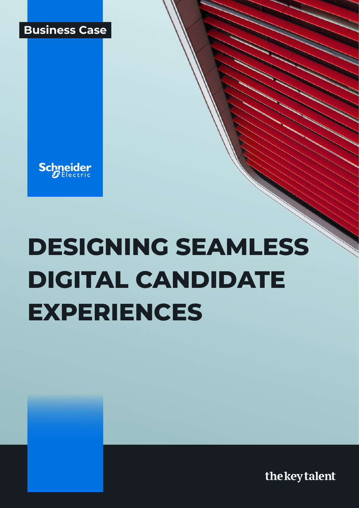



# **DESIGNING SEAMLESS DIGITAL CANDIDATE EXPERIENCES**

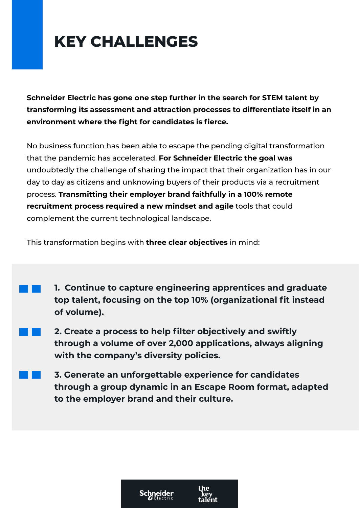## **KEY CHALLENGES**

**Schneider Electric has gone one step further in the search for STEM talent by transforming its assessment and attraction processes to differentiate itself in an environment where the fight for candidates is fierce.**

No business function has been able to escape the pending digital transformation that the pandemic has accelerated. **For Schneider Electric the goal was**  undoubtedly the challenge of sharing the impact that their organization has in our day to day as citizens and unknowing buyers of their products via a recruitment process. **Transmitting their employer brand faithfully in a 100% remote recruitment process required a new mindset and agile** tools that could complement the current technological landscape.

This transformation begins with **three clear objectives** in mind:

- **1. Continue to capture engineering apprentices and graduate top talent, focusing on the top 10% (organizational fit instead of volume).**
- **2. Create a process to help filter objectively and swiftly through a volume of over 2,000 applications, always aligning with the company's diversity policies.**
- **3. Generate an unforgettable experience for candidates through a group dynamic in an Escape Room format, adapted to the employer brand and their culture.**

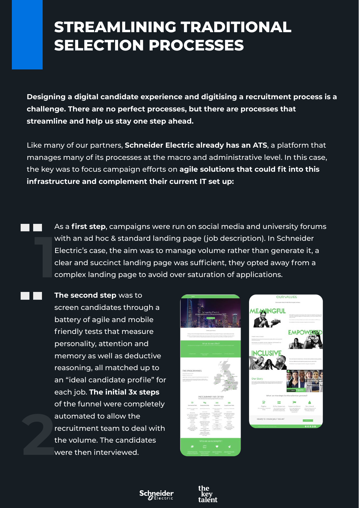#### **STREAMLINING TRADITIONAL SELECTION PROCESSES**

**Designing a digital candidate experience and digitising a recruitment process is a challenge. There are no perfect processes, but there are processes that streamline and help us stay one step ahead.**

Like many of our partners, **Schneider Electric already has an ATS**, a platform that manages many of its processes at the macro and administrative level. In this case, the key was to focus campaign efforts on **agile solutions that could fit into this infrastructure and complement their current IT set up:**

- As a **first step**, campaigns were run on social media and university forums with an ad hoc & standard landing page (job description). In Schneider Electric's case, the aim was to manage volume rather than generate it, a clear and succinct landing page was sufficient, they opted away from a complex landing page to avoid over saturation of applications. **1**
- **2 The second step** was to screen candidates through a battery of agile and mobile friendly tests that measure personality, attention and memory as well as deductive reasoning, all matched up to an "ideal candidate profile" for each job. **The initial 3x steps** of the funnel were completely automated to allow the recruitment team to deal with the volume. The candidates were then interviewed.





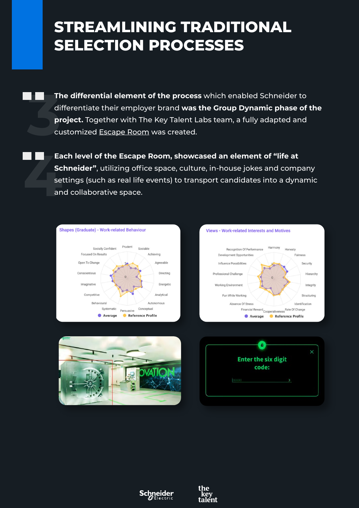#### **STREAMLINING TRADITIONAL SELECTION PROCESSES**

**The differential element of the process** which enabled Schneider to differentiate their employer brand **was the Group Dynamic phase of the project.** Together with The Key Talent Labs team, a fully adapted and customized [Escape Room](https://thekeytalent.com/labs-2/?lang=en) was created. **3**

**Each level of the Escape Room, showcased an element of "life at Schneider"**, utilizing office space, culture, in-house jokes and company settings (such as real life events) to transport candidates into a dynamic and collaborative space. **4**<br>**4**<br>**4**<br>**4**<br>**4**<br>**4**<br>**4**<br>**4**<br>**4**<br>